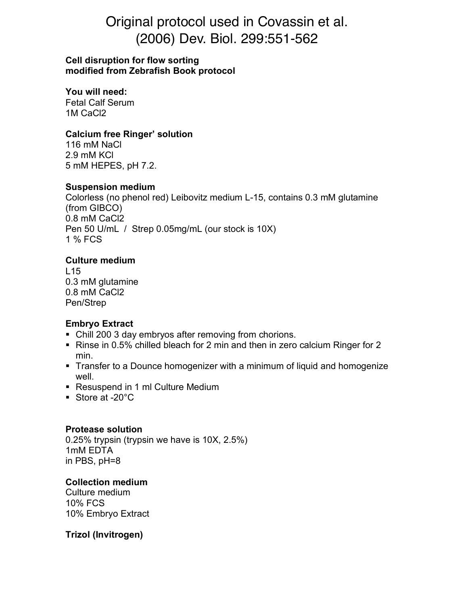# Original protocol used in Covassin et al. (2006) Dev. Biol. 299:551-562

#### **Cell disruption for flow sorting modified from Zebrafish Book protocol**

#### **You will need:**

Fetal Calf Serum 1M CaCl2

## **Calcium free Ringer' solution**

116 mM NaCl 2.9 mM KCl 5 mM HEPES, pH 7.2.

#### **Suspension medium**

Colorless (no phenol red) Leibovitz medium L-15, contains 0.3 mM glutamine (from GIBCO) 0.8 mM CaCl2 Pen 50 U/mL / Strep 0.05mg/mL (our stock is 10X) 1 % FCS

#### **Culture medium**

 $L<sub>15</sub>$ 0.3 mM glutamine 0.8 mM CaCl2 Pen/Strep

# **Embryo Extract**

- Chill 200 3 day embryos after removing from chorions.
- Rinse in 0.5% chilled bleach for 2 min and then in zero calcium Ringer for 2 min.
- **Transfer to a Dounce homogenizer with a minimum of liquid and homogenize** well.
- Resuspend in 1 ml Culture Medium
- Store at -20°C

# **Protease solution**

0.25% trypsin (trypsin we have is 10X, 2.5%) 1mM EDTA in PBS, pH=8

# **Collection medium**

Culture medium 10% FCS 10% Embryo Extract

# **Trizol (Invitrogen)**